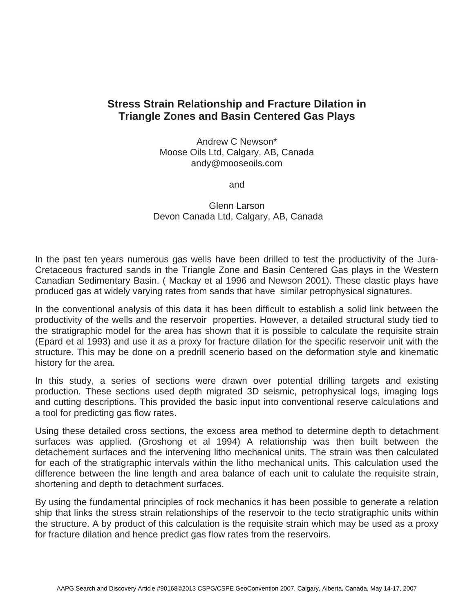## **Stress Strain Relationship and Fracture Dilation in Triangle Zones and Basin Centered Gas Plays**

Andrew C Newson\* Moose Oils Ltd, Calgary, AB, Canada andy@mooseoils.com

and

Glenn Larson Devon Canada Ltd, Calgary, AB, Canada

In the past ten years numerous gas wells have been drilled to test the productivity of the Jura-Cretaceous fractured sands in the Triangle Zone and Basin Centered Gas plays in the Western Canadian Sedimentary Basin. ( Mackay et al 1996 and Newson 2001). These clastic plays have produced gas at widely varying rates from sands that have similar petrophysical signatures.

In the conventional analysis of this data it has been difficult to establish a solid link between the productivity of the wells and the reservoir properties. However, a detailed structural study tied to the stratigraphic model for the area has shown that it is possible to calculate the requisite strain (Epard et al 1993) and use it as a proxy for fracture dilation for the specific reservoir unit with the structure. This may be done on a predrill scenerio based on the deformation style and kinematic history for the area.

In this study, a series of sections were drawn over potential drilling targets and existing production. These sections used depth migrated 3D seismic, petrophysical logs, imaging logs and cutting descriptions. This provided the basic input into conventional reserve calculations and a tool for predicting gas flow rates.

Using these detailed cross sections, the excess area method to determine depth to detachment surfaces was applied. (Groshong et al 1994) A relationship was then built between the detachement surfaces and the intervening litho mechanical units. The strain was then calculated for each of the stratigraphic intervals within the litho mechanical units. This calculation used the difference between the line length and area balance of each unit to calulate the requisite strain, shortening and depth to detachment surfaces.

By using the fundamental principles of rock mechanics it has been possible to generate a relation ship that links the stress strain relationships of the reservoir to the tecto stratigraphic units within the structure. A by product of this calculation is the requisite strain which may be used as a proxy for fracture dilation and hence predict gas flow rates from the reservoirs.